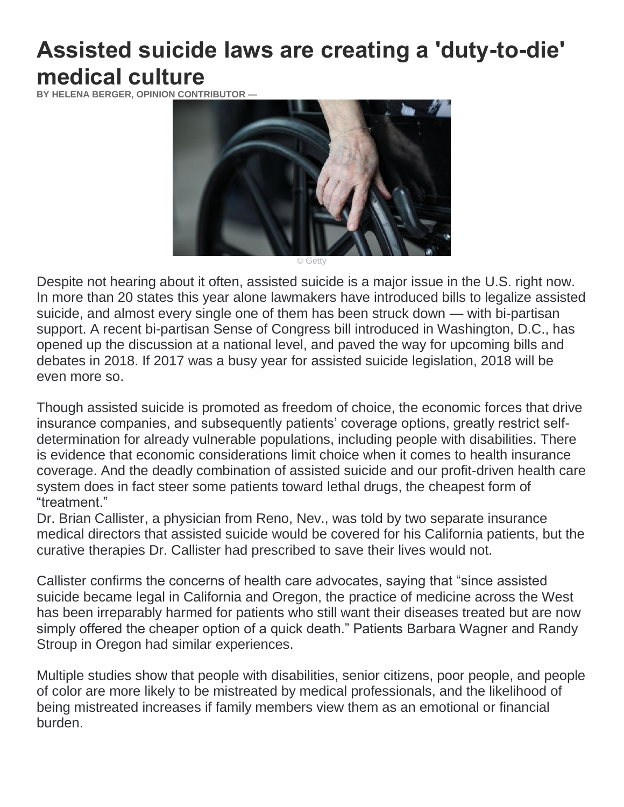## **Assisted suicide laws are creating a 'duty-to-die' medical culture**

**BY HELENA BERGER, OPINION CONTRIBUTOR —**



© Getty

Despite not hearing about it often, assisted suicide is a major issue in the U.S. right now. In more than 20 states this year [alone](https://www.ncronline.org/news/justice/more-states-consider-assisted-suicide-legislation) lawmakers have [introduced](https://www.americamagazine.org/politics-society/2017/04/17/more-states-are-considering-legalizing-assisted-suicide) bills to legalize assisted suicide, and almost every single one of them has been struck down — with bi-partisan support. A recent bi-partisan [Sense of Congress bill](https://www.congress.gov/bill/115th-congress/house-concurrent-resolution/80/text) introduced in Washington, D.C., has opened up the discussion at a national level, and paved the way for upcoming bills and debates in 2018. If 2017 was a busy year for assisted suicide legislation, 2018 will be even more so.

Though assisted suicide is promoted as freedom of choice, the economic forces that drive insurance companies, and subsequently patients' coverage options, greatly restrict selfdetermination for already vulnerable populations, including people with disabilities. There is evidence that economic considerations limit choice when it comes to health insurance coverage. And the deadly combination of assisted suicide and our profit-driven health care system does in fact steer some patients toward lethal drugs, the cheapest form of "treatment."

[Dr. Brian Callister,](http://dailysignal.com/2017/06/28/doctor-says-health-insurance-wouldnt-pay-for-patients-treatments-but-offered-assisted-suicide-instead/) a physician from Reno, Nev., was told by two separate insurance medical directors that assisted suicide would be covered for his California patients, but the curative therapies Dr. Callister had prescribed to save their lives would not.

Callister [confirms](http://www.patientsrightscouncil.org/site/update-83-vol-31-number-1-2017-1/) the concerns of health care advocates, saying that "since assisted suicide became legal in California and Oregon, the practice of medicine across the West has been irreparably harmed for patients who still want their diseases treated but are now simply offered the cheaper option of a quick death." Patients [Barbara Wagner](http://abcnews.go.com/Health/story?id=5517492&page=1) and [Randy](https://www.youtube.com/watch?v=5_WtvktyxkA)  [Stroup](https://www.youtube.com/watch?v=5_WtvktyxkA) in Oregon had similar experiences.

Multiple studies show that people with disabilities, senior citizens, poor people, and people of color are more likely to be mistreated by medical professionals, and the likelihood of being mistreated increases if family members view them as an emotional or financial burden.